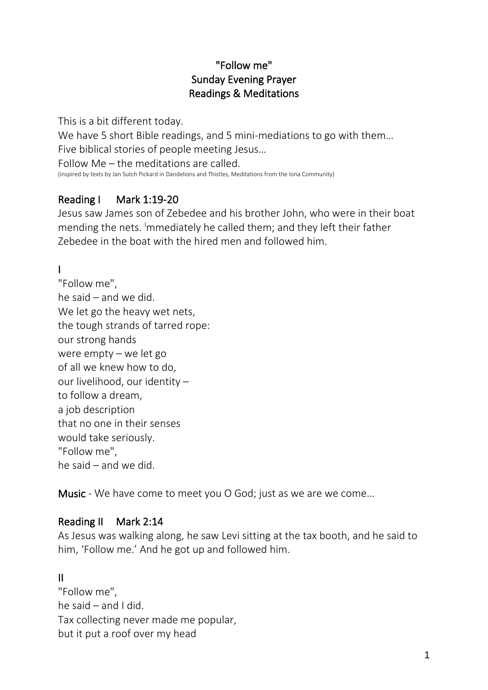## "Follow me" Sunday Evening Prayer Readings & Meditations

This is a bit different today.

We have 5 short Bible readings, and 5 mini-mediations to go with them… Five biblical stories of people meeting Jesus…

Follow Me – the meditations are called.

(inspired by texts by Jan Sutch Pickard in Dandelions and Thistles, Meditations from the Iona Community)

# Reading I Mark 1:19-20

Jesus saw James son of Zebedee and his brother John, who were in their boat mending the nets. 'mmediately he called them; and they left their father Zebedee in the boat with the hired men and followed him.

I

"Follow me", he said – and we did. We let go the heavy wet nets, the tough strands of tarred rope: our strong hands were empty – we let go of all we knew how to do, our livelihood, our identity – to follow a dream, a job description that no one in their senses would take seriously. "Follow me", he said – and we did.

Music - We have come to meet you O God; just as we are we come…

## Reading II Mark 2:14

As Jesus was walking along, he saw Levi sitting at the tax booth, and he said to him, 'Follow me.' And he got up and followed him.

II "Follow me", he said – and I did. Tax collecting never made me popular, but it put a roof over my head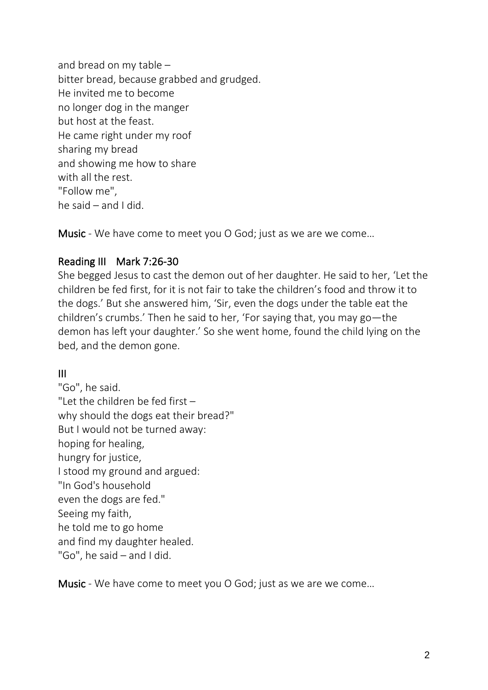and bread on my table – bitter bread, because grabbed and grudged. He invited me to become no longer dog in the manger but host at the feast. He came right under my roof sharing my bread and showing me how to share with all the rest. "Follow me", he said – and I did.

Music - We have come to meet you O God; just as we are we come…

## Reading III Mark 7:26-30

She begged Jesus to cast the demon out of her daughter. He said to her, 'Let the children be fed first, for it is not fair to take the children's food and throw it to the dogs.' But she answered him, 'Sir, even the dogs under the table eat the children's crumbs.' Then he said to her, 'For saying that, you may go—the demon has left your daughter.' So she went home, found the child lying on the bed, and the demon gone.

## III

"Go", he said. "Let the children be fed first – why should the dogs eat their bread?" But I would not be turned away: hoping for healing, hungry for justice, I stood my ground and argued: "In God's household even the dogs are fed." Seeing my faith, he told me to go home and find my daughter healed. "Go", he said – and I did.

Music - We have come to meet you O God; just as we are we come…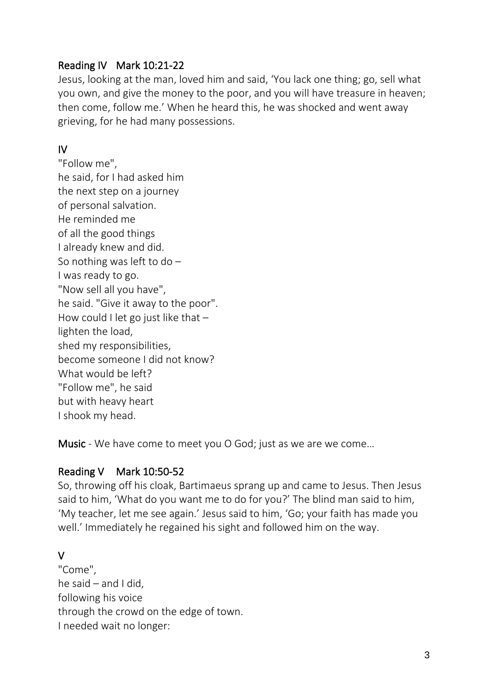#### Reading IV Mark 10:21-22

Jesus, looking at the man, loved him and said, 'You lack one thing; go, sell what you own, and give the money to the poor, and you will have treasure in heaven; then come, follow me.' When he heard this, he was shocked and went away grieving, for he had many possessions.

## IV

"Follow me", he said, for I had asked him the next step on a journey of personal salvation. He reminded me of all the good things I already knew and did. So nothing was left to do – I was ready to go. "Now sell all you have", he said. "Give it away to the poor". How could I let go just like that  $$ lighten the load, shed my responsibilities, become someone I did not know? What would be left? "Follow me", he said but with heavy heart I shook my head.

Music - We have come to meet you O God; just as we are we come…

#### Reading V Mark 10:50-52

So, throwing off his cloak, Bartimaeus sprang up and came to Jesus. Then Jesus said to him, 'What do you want me to do for you?' The blind man said to him, 'My teacher, let me see again.' Jesus said to him, 'Go; your faith has made you well.' Immediately he regained his sight and followed him on the way.

#### V

"Come", he said – and I did, following his voice through the crowd on the edge of town. I needed wait no longer: